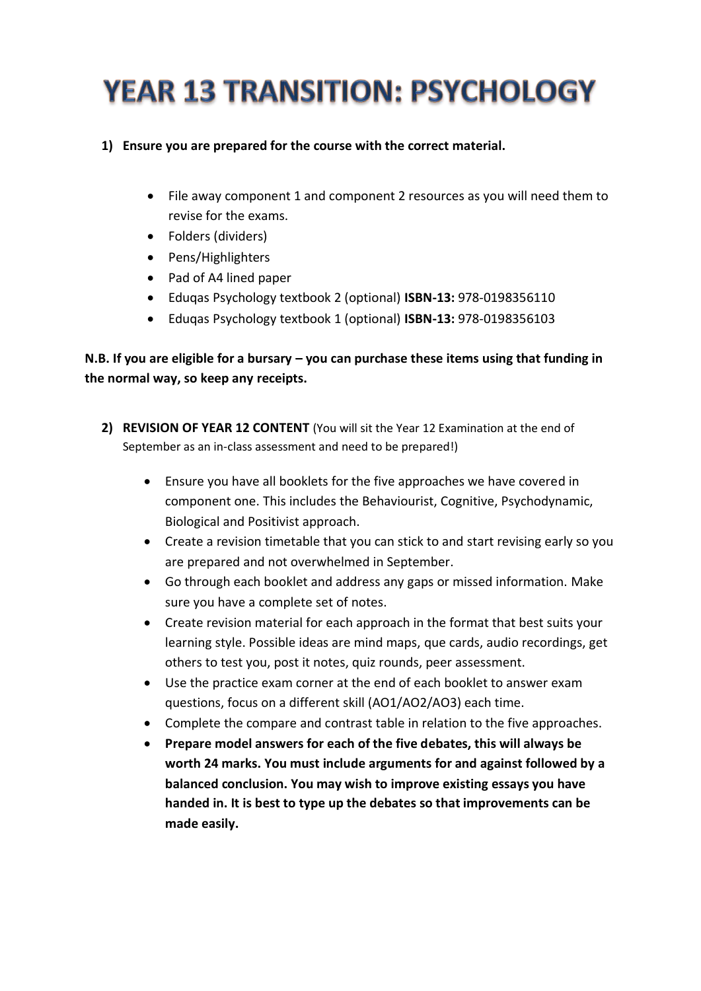# **YEAR 13 TRANSITION: PSYCHOLOGY**

- **1) Ensure you are prepared for the course with the correct material.** 
	- File away component 1 and component 2 resources as you will need them to revise for the exams.
	- Folders (dividers)
	- Pens/Highlighters
	- Pad of A4 lined paper
	- Eduqas Psychology textbook 2 (optional) **ISBN-13:** 978-0198356110
	- Eduqas Psychology textbook 1 (optional) **ISBN-13:** 978-0198356103

## **N.B. If you are eligible for a bursary – you can purchase these items using that funding in the normal way, so keep any receipts.**

- **2) REVISION OF YEAR 12 CONTENT** (You will sit the Year 12 Examination at the end of September as an in-class assessment and need to be prepared!)
	- Ensure you have all booklets for the five approaches we have covered in component one. This includes the Behaviourist, Cognitive, Psychodynamic, Biological and Positivist approach.
	- Create a revision timetable that you can stick to and start revising early so you are prepared and not overwhelmed in September.
	- Go through each booklet and address any gaps or missed information. Make sure you have a complete set of notes.
	- Create revision material for each approach in the format that best suits your learning style. Possible ideas are mind maps, que cards, audio recordings, get others to test you, post it notes, quiz rounds, peer assessment.
	- Use the practice exam corner at the end of each booklet to answer exam questions, focus on a different skill (AO1/AO2/AO3) each time.
	- Complete the compare and contrast table in relation to the five approaches.
	- **Prepare model answers for each of the five debates, this will always be worth 24 marks. You must include arguments for and against followed by a balanced conclusion. You may wish to improve existing essays you have handed in. It is best to type up the debates so that improvements can be made easily.**